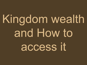Kingdom wealth and How to access it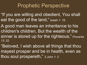## Prophetic Perspective

- "If you are willing and obedient, You shall eat the good of the land," Isaiah 1: 19.
- A good man leaves an inheritance to his children's children, But the wealth of the sinner is stored up for the righteous," *Proverbs 13: 22.*
- "Beloved, I wish above all things that thou mayest prosper and be in health, even as thou soul prospereth," *3 John 1: 2*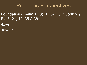## Prophetic Perspectives

- Foundation (Psalm 11:3), 1Kgs 3:3; 1Corth 2:9; Ex. 3: 21, 12: 35 & 36:
- -love
- -favour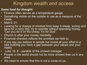## Kingdom wealth and access

#### *Some food for thought:*

- Finance often serves as a temperature gauge.
- Something visible on the outside to use as a measure of the inside.
- Matt 6: 21.
- Looking for a change of mindset from keep it cheap, scrimp and save for a rainy day, try to operate without spending money. 'Can you do it on the cheap, it's for God'.
- Church is after your money mentality.
- Financial direction reflects the priorities we hold to.
- If you say you believe in people but invest all your effort in a new building you have a gap between your values and your reality.
- Luke 16:  $8$  parable of the shrewd manager.
- People in the world should not be more shrewd than us in any area.
- We need to ensure that this is not a curse on us.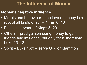### **The Influence of Money**

### **Money's negative influence**

- Morals and behaviour the love of money is a root of all kinds of evil – 1 Tim 6: 10
- Elisha's servant 2Kings 5: 20.
- Others prodigal son using money to gain friends and influence, but only for a short time. Luke 15: 13.
- Spirit Luke 16:3 serve God or Mammon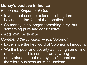### **Money's positive influence** *Extend the Kingdom of God*.

- Investment used to extend the Kingdom. Laying it at the feet of the apostles.
- So money is no longer something dirty, but something pure and constructive.
- Acts 2:45, Acts 4:34.
- *Commend the Kingdom* e.g. Solomon
- Excellence the key word of Solomon's kingdom.
- We think poor and poverty as having some kind of holiness. This comes from a wrong understanding that money itself is unclean – therefore business must be unclean.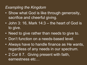### *Exampling the Kingdom*

- Show what God is like through generosity, sacrifice and cheerful giving.
- John 3: 16, Mark 14:3 the heart of God is to give.
- Need to give rather than needs to give to.
- Don't function on a needs-based level.
- Always have to handle finance as He wants, regardless of any needs in our spectrum.
- 2 Cor 8 7. Giving present with faith, earnestness etc…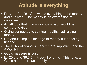## **Attitude is everything**

- Prov 11: 24, 25. God wants everything the money and our lives. The money is an expression of ourselves.
- An attitude that in anyway holds back would be contrary to God.
- Giving connected to spiritual health. Not raising money…
- Not about simple exchange of money but handling finance.
- The HOW of giving is clearly more important than the AMOUNT.
- God's measure is cost.
- Ex 25:2 and 36:3,5. Freewill offering. This reflects God's heart more accurately.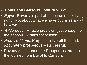#### • **Times and Seasons** *Joshua 5: 1-12*

- *Egypt*. Poverty is part of the curse of not living right. Not about what we have but more about how we think.
- *Wilderness*. Miracle provision, just enough for the season. A different season.
- *Promised Land*. Purpose to live off the land. Accurately prosperous – successful.
- Poverty > Just enough > Prosperous through the journey from Egypt to Canaan.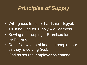# *Principles of Supply*

- Willingness to suffer hardship Egypt.
- Trusting God for supply Wilderness.
- Sowing and reaping Promised land. Right living.
- Don't follow idea of keeping people poor as they're serving God.
- God as source, employer as channel.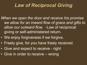## *Law of Reciprocal Giving*

- *When we open the door and receive his promise we allow for an inward flow of grace and gifts to allow our outward flow.* -Law of reciprocal giving or self-administered return.
- We enjoy forgiveness if we forgive.
- Freely give, for you have freely received.
- Give and expect to receive right
- Give in order to receive wrong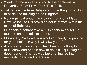- Wealth of the wicked coming to the righteous  $-$ Proverbs 13:22; Prov 19:17; Eccl 9: 10
- Taking finance from Babylon into the Kingdom of God to assist the building of the Kingdom.
- No longer just about miraculous provision of God. Now we look to His provision actually from within the midst of Babylon.
- Our finance cannot take a missionary mind-set. It must be an apostolic mind-set.
- Missionary: "We give you what you need, we provide for you, that's the way it will always be."
- Apostolic: empowering. The Church, the Kingdom must show and enable how to do this. Equipping not dependency. Change way beyond finance into mentality, heart and operation.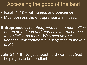## Accessing the good of the land

- Isaiah 1: 19 willingness and obedience
- Must possess the entrepreneurial mindset.

**Entrepreneur**: *somebody who sees opportunities others do not see and marshals the resources to capitalise on them. Who sets up and finances new commercial enterprises to make a profit.*

John 21: 1 ff- Not just about hard work, but God helping us to be obedient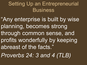# Setting Up an Entrepreneurial **Business**

"Any enterprise is built by wise planning, becomes strong through common sense, and profits wonderfully by keeping abreast of the facts."

*Proverbs 24: 3 and 4 (TLB)*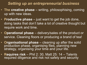#### *Setting up an entrepreneurial business*

- **The creative phase** writing, philosophising, coming up with new ideas.
- **Productive phase** just want to get the job done, doing tasks that don't take a lot of creative thought but require work and time.
- **Operational phase**  delivery/sales of the product or service. Cleaning floors or producing a brand of tea!
- **Organisational phase**  cleaning up after the solid production phase, organising files, planning new strategy, organising your time and your life.
- **Requires risk**  Phil 2: 30, Matt 25: 14 Talents required diligence and risk not safety and security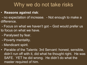## Why we do not take risks

- **Reasons against risk**:
- no expectation of increase. Not enough to make a difference.
- Focus on what we haven't got God would prefer us to focus on what we have.
- Paralysed by fear.
- Poverty mentality.
- Mendicant spirit.
- Parable of the Talents: 3rd Servant: honest, sensible, didn't run off with it, did what he thought right. He was SAFE. YET he did wrong. He didn't do what the master required of him.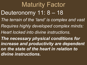Maturity Factor Deuteronomy 11: 8 - 18 *The terrain of the 'land' is complex and vast Requires highly developed complex minds: Heart locked into divine instructions. The necessary physical conditions for increase and productivity are dependent on the state of the heart in relation to divine instructions.*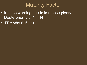## Maturity Factor

- Intense warning due to immense plenty Deuteronomy 8: 1 – 14
- 1Timothy 6: 6 10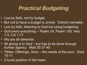## *Practical Budgeting*

- Live by faith, not by budget.
- But not to have a budget is unreal. Ostrich mentality.
- Live by faith, listening to God but using budgeting.
- God owns everything Psalm 24, Psalm 100, Heb 1:3, Col 1:17
- We are all stewards
- All giving is to God but has to be done through human agency. Matt 25:37-40
- Tithes, Offerings, Alms the needs of the poor. Deut 15:11.
- Crucial position of the heart.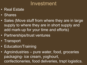## Investment

- Real Estate
- Shares
- Sales (Move stuff from where they are in large supply to where they are in short supply and add mark-up for your time and efforts)
- Partnerships/trust ventures
- Transport
- Education/Training
- Agroindustries pure water, food, groceries packaging- ice cream, yoghourt, confectioneries, food deliveries, trspt logistics.